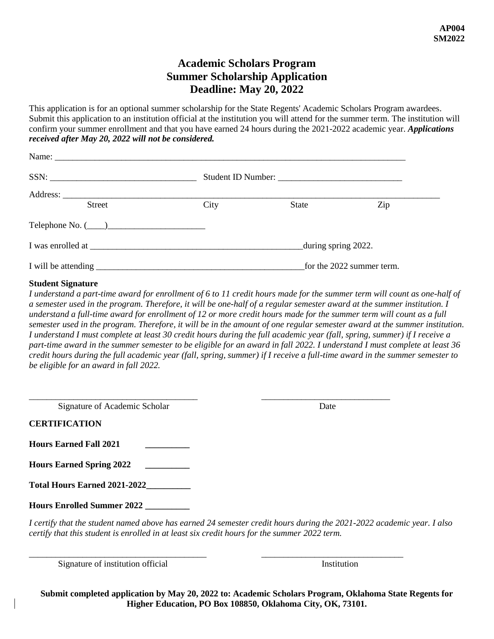# **Academic Scholars Program Summer Scholarship Application Deadline: May 20, 2022**

This application is for an optional summer scholarship for the State Regents' Academic Scholars Program awardees. Submit this application to an institution official at the institution you will attend for the summer term. The institution will confirm your summer enrollment and that you have earned 24 hours during the 2021-2022 academic year. *Applications received after May 20, 2022 will not be considered.*

| SSN:                   |                           |       |     |  |
|------------------------|---------------------------|-------|-----|--|
|                        |                           |       |     |  |
| <b>Street</b>          | City                      | State | Zip |  |
| Telephone No. $(\_\_)$ |                           |       |     |  |
| I was enrolled at      | during spring 2022.       |       |     |  |
|                        | for the 2022 summer term. |       |     |  |

## **Student Signature**

*I understand a part-time award for enrollment of 6 to 11 credit hours made for the summer term will count as one-half of a semester used in the program. Therefore, it will be one-half of a regular semester award at the summer institution. I understand a full-time award for enrollment of 12 or more credit hours made for the summer term will count as a full semester used in the program. Therefore, it will be in the amount of one regular semester award at the summer institution. I understand I must complete at least 30 credit hours during the full academic year (fall, spring, summer) if I receive a part-time award in the summer semester to be eligible for an award in fall 2022. I understand I must complete at least 36 credit hours during the full academic year (fall, spring, summer) if I receive a full-time award in the summer semester to be eligible for an award in fall 2022.* 

| Signature of Academic Scholar | Jate |
|-------------------------------|------|

**CERTIFICATION**

**Hours Earned Fall 2021 \_\_\_\_\_\_\_\_\_\_**

**Hours Earned Spring 2022 \_\_\_\_\_\_\_\_\_\_**

**Total Hours Earned 2021-2022\_\_\_\_\_\_\_\_\_\_**

**Hours Enrolled Summer 2022 \_\_\_\_\_\_\_\_\_\_**

*I certify that the student named above has earned 24 semester credit hours during the 2021-2022 academic year. I also certify that this student is enrolled in at least six credit hours for the summer 2022 term.*

\_\_\_\_\_\_\_\_\_\_\_\_\_\_\_\_\_\_\_\_\_\_\_\_\_\_\_\_\_\_\_\_\_\_\_\_\_\_\_\_ \_\_\_\_\_\_\_\_\_\_\_\_\_\_\_\_\_\_\_\_\_\_\_\_\_\_\_\_\_\_\_\_

Signature of institution official Institution Institution

**Submit completed application by May 20, 2022 to: Academic Scholars Program, Oklahoma State Regents for Higher Education, PO Box 108850, Oklahoma City, OK, 73101.**